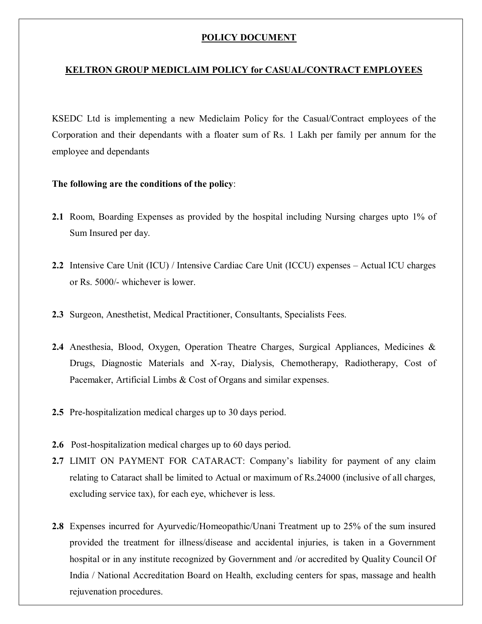## **POLICY DOCUMENT**

## **KELTRON GROUP MEDICLAIM POLICY for CASUAL/CONTRACT EMPLOYEES**

KSEDC Ltd is implementing a new Mediclaim Policy for the Casual/Contract employees of the Corporation and their dependants with a floater sum of Rs. 1 Lakh per family per annum for the employee and dependants

**The following are the conditions of the policy**:

- **2.1** Room, Boarding Expenses as provided by the hospital including Nursing charges upto 1% of Sum Insured per day.
- **2.2** Intensive Care Unit (ICU) / Intensive Cardiac Care Unit (ICCU) expenses Actual ICU charges or Rs. 5000/- whichever is lower.
- **2.3** Surgeon, Anesthetist, Medical Practitioner, Consultants, Specialists Fees.
- **2.4** Anesthesia, Blood, Oxygen, Operation Theatre Charges, Surgical Appliances, Medicines & Drugs, Diagnostic Materials and X-ray, Dialysis, Chemotherapy, Radiotherapy, Cost of Pacemaker, Artificial Limbs & Cost of Organs and similar expenses.
- **2.5** Pre-hospitalization medical charges up to 30 days period.
- **2.6** Post-hospitalization medical charges up to 60 days period.
- **2.7** LIMIT ON PAYMENT FOR CATARACT: Company's liability for payment of any claim relating to Cataract shall be limited to Actual or maximum of Rs.24000 (inclusive of all charges, excluding service tax), for each eye, whichever is less.
- **2.8** Expenses incurred for Ayurvedic/Homeopathic/Unani Treatment up to 25% of the sum insured provided the treatment for illness/disease and accidental injuries, is taken in a Government hospital or in any institute recognized by Government and /or accredited by Quality Council Of India / National Accreditation Board on Health, excluding centers for spas, massage and health rejuvenation procedures.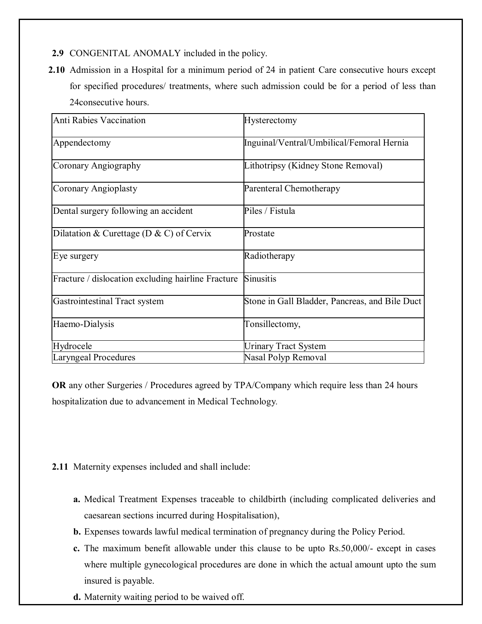- **2.9** CONGENITAL ANOMALY included in the policy.
- **2.10** Admission in a Hospital for a minimum period of 24 in patient Care consecutive hours except for specified procedures/ treatments, where such admission could be for a period of less than 24consecutive hours.

| Anti Rabies Vaccination                            | Hysterectomy                                   |
|----------------------------------------------------|------------------------------------------------|
| Appendectomy                                       | Inguinal/Ventral/Umbilical/Femoral Hernia      |
| Coronary Angiography                               | Lithotripsy (Kidney Stone Removal)             |
| Coronary Angioplasty                               | Parenteral Chemotherapy                        |
| Dental surgery following an accident               | Piles / Fistula                                |
| Dilatation & Curettage (D & C) of Cervix           | Prostate                                       |
| Eye surgery                                        | Radiotherapy                                   |
| Fracture / dislocation excluding hairline Fracture | <b>Sinusitis</b>                               |
| Gastrointestinal Tract system                      | Stone in Gall Bladder, Pancreas, and Bile Duct |
| Haemo-Dialysis                                     | Tonsillectomy,                                 |
| Hydrocele                                          | <b>Urinary Tract System</b>                    |
| <b>Laryngeal Procedures</b>                        | Nasal Polyp Removal                            |

**OR** any other Surgeries / Procedures agreed by TPA/Company which require less than 24 hours hospitalization due to advancement in Medical Technology*.*

## **2.11** Maternity expenses included and shall include:

- **a.** Medical Treatment Expenses traceable to childbirth (including complicated deliveries and caesarean sections incurred during Hospitalisation),
- **b.** Expenses towards lawful medical termination of pregnancy during the Policy Period.
- **c.** The maximum benefit allowable under this clause to be upto Rs.50,000/- except in cases where multiple gynecological procedures are done in which the actual amount upto the sum insured is payable.
- **d.** Maternity waiting period to be waived off.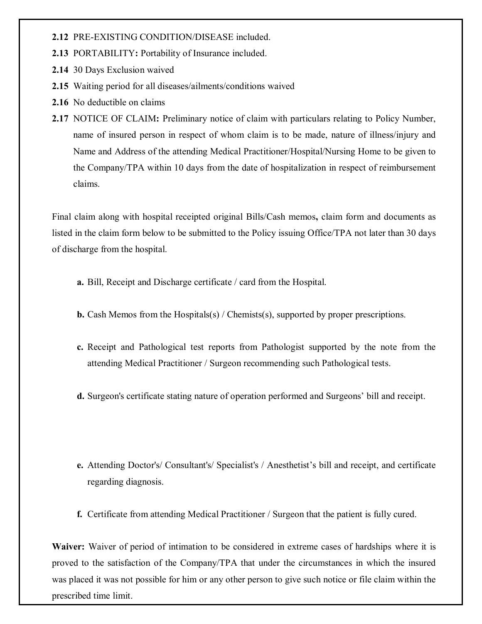- **2.12** PRE-EXISTING CONDITION/DISEASE included.
- **2.13** PORTABILITY**:** Portability of Insurance included.
- **2.14** 30 Days Exclusion waived
- **2.15** Waiting period for all diseases/ailments/conditions waived
- **2.16** No deductible on claims
- **2.17** NOTICE OF CLAIM**:** Preliminary notice of claim with particulars relating to Policy Number, name of insured person in respect of whom claim is to be made, nature of illness/injury and Name and Address of the attending Medical Practitioner/Hospital/Nursing Home to be given to the Company/TPA within 10 days from the date of hospitalization in respect of reimbursement claims.

Final claim along with hospital receipted original Bills/Cash memos**,** claim form and documents as listed in the claim form below to be submitted to the Policy issuing Office/TPA not later than 30 days of discharge from the hospital.

- **a.** Bill, Receipt and Discharge certificate / card from the Hospital.
- **b.** Cash Memos from the Hospitals(s) / Chemists(s), supported by proper prescriptions.
- **c.** Receipt and Pathological test reports from Pathologist supported by the note from the attending Medical Practitioner / Surgeon recommending such Pathological tests.
- **d.** Surgeon's certificate stating nature of operation performed and Surgeons' bill and receipt.
- **e.** Attending Doctor's/ Consultant's/ Specialist's / Anesthetist's bill and receipt, and certificate regarding diagnosis.
- **f.** Certificate from attending Medical Practitioner / Surgeon that the patient is fully cured.

**Waiver:** Waiver of period of intimation to be considered in extreme cases of hardships where it is proved to the satisfaction of the Company/TPA that under the circumstances in which the insured was placed it was not possible for him or any other person to give such notice or file claim within the prescribed time limit.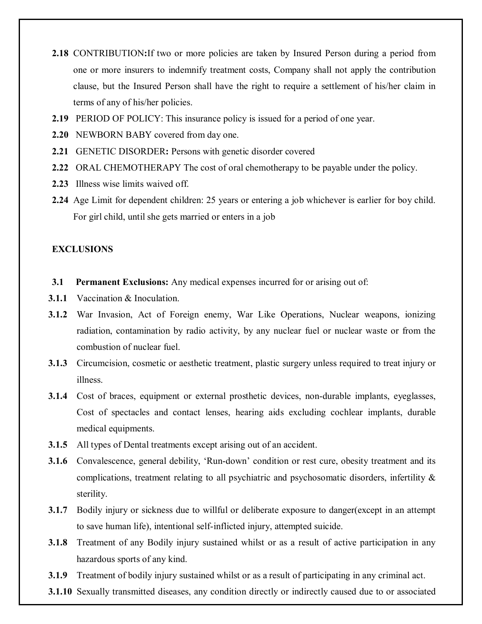- **2.18** CONTRIBUTION**:**If two or more policies are taken by Insured Person during a period from one or more insurers to indemnify treatment costs, Company shall not apply the contribution clause, but the Insured Person shall have the right to require a settlement of his/her claim in terms of any of his/her policies.
- **2.19** PERIOD OF POLICY: This insurance policy is issued for a period of one year.
- **2.20** NEWBORN BABY covered from day one.
- **2.21** GENETIC DISORDER**:** Persons with genetic disorder covered
- **2.22** ORAL CHEMOTHERAPY The cost of oral chemotherapy to be payable under the policy.
- **2.23** Illness wise limits waived off.
- **2.24** Age Limit for dependent children: 25 years or entering a job whichever is earlier for boy child. For girl child, until she gets married or enters in a job

## **EXCLUSIONS**

- **3.1 Permanent Exclusions:** Any medical expenses incurred for or arising out of:
- **3.1.1** Vaccination & Inoculation.
- **3.1.2** War Invasion, Act of Foreign enemy, War Like Operations, Nuclear weapons, ionizing radiation, contamination by radio activity, by any nuclear fuel or nuclear waste or from the combustion of nuclear fuel.
- **3.1.3** Circumcision, cosmetic or aesthetic treatment, plastic surgery unless required to treat injury or illness.
- **3.1.4** Cost of braces, equipment or external prosthetic devices, non-durable implants, eyeglasses, Cost of spectacles and contact lenses, hearing aids excluding cochlear implants, durable medical equipments.
- **3.1.5** All types of Dental treatments except arising out of an accident.
- **3.1.6** Convalescence, general debility, 'Run-down' condition or rest cure, obesity treatment and its complications, treatment relating to all psychiatric and psychosomatic disorders, infertility & sterility.
- **3.1.7** Bodily injury or sickness due to willful or deliberate exposure to danger(except in an attempt to save human life), intentional self-inflicted injury, attempted suicide.
- **3.1.8** Treatment of any Bodily injury sustained whilst or as a result of active participation in any hazardous sports of any kind.
- **3.1.9** Treatment of bodily injury sustained whilst or as a result of participating in any criminal act.
- **3.1.10** Sexually transmitted diseases, any condition directly or indirectly caused due to or associated